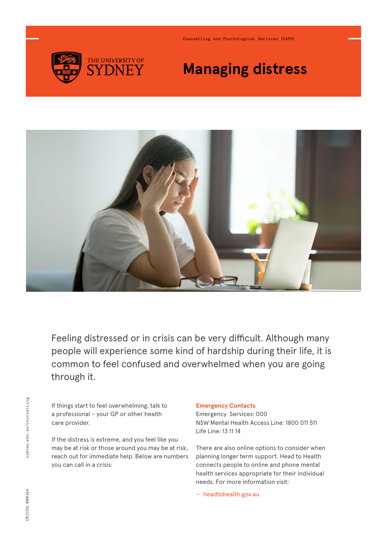

Counselling and Psychological Services (CAPS)

# **Managing distress**



Feeling distressed or in crisis can be very difficult. Although many people will experience some kind of hardship during their life, it is common to feel confused and overwhelmed when you are going through it.

If things start to feel overwhelming, talk to a professional – your GP or other health care provider.

If the distress is extreme, and you feel like you may be at risk or those around you may be at risk, reach out for immediate help. Below are numbers you can call in a crisis:

### **Emergency Contacts**

Emergency Services: 000 NSW Mental Health Access Line: 1800 011 511 Life Line: 13 11 14

There are also online options to consider when planning longer term support. Head to Health connects people to online and phone mental health services appropriate for their individual needs. For more information visit:

− [headtohealth.gov.au](http://headtohealth.gov.au)